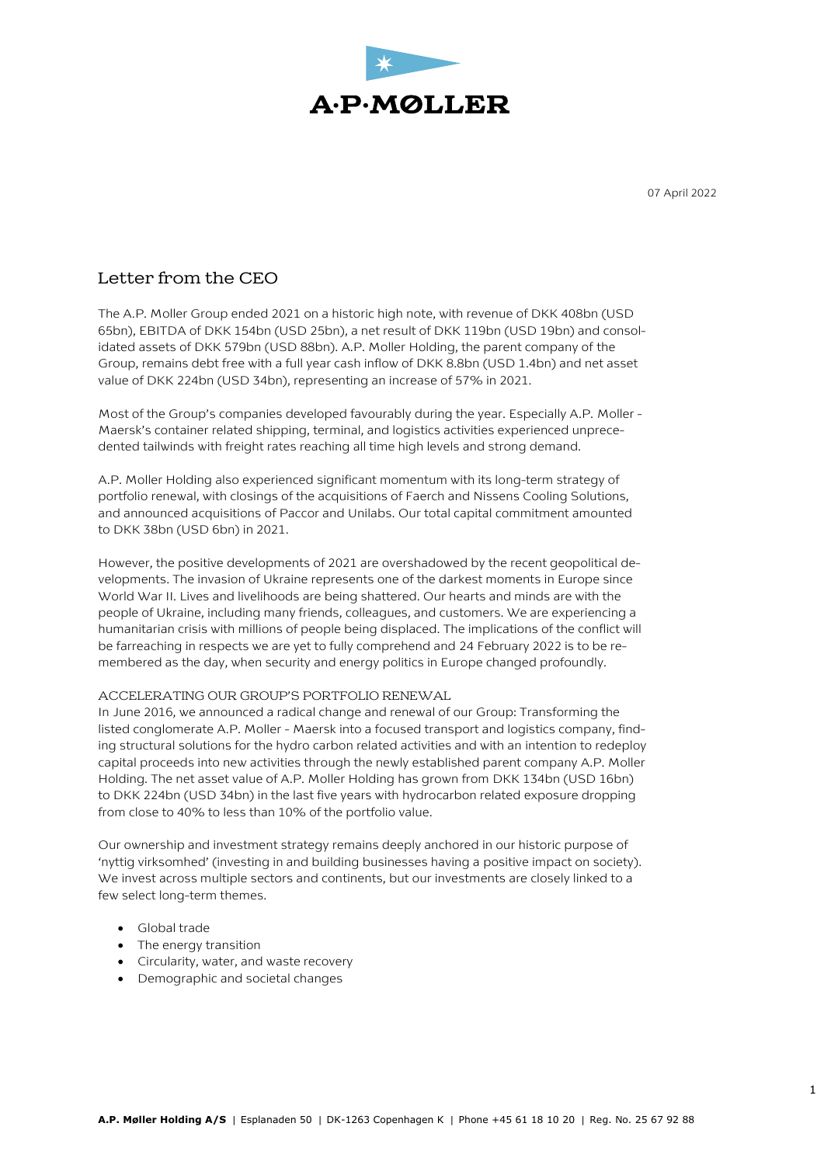

07 April 2022

# Letter from the CEO

The A.P. Moller Group ended 2021 on a historic high note, with revenue of DKK 408bn (USD 65bn), EBITDA of DKK 154bn (USD 25bn), a net result of DKK 119bn (USD 19bn) and consolidated assets of DKK 579bn (USD 88bn). A.P. Moller Holding, the parent company of the Group, remains debt free with a full year cash inflow of DKK 8.8bn (USD 1.4bn) and net asset value of DKK 224bn (USD 34bn), representing an increase of 57% in 2021.

Most of the Group's companies developed favourably during the year. Especially A.P. Moller - Maersk's container related shipping, terminal, and logistics activities experienced unprecedented tailwinds with freight rates reaching all time high levels and strong demand.

A.P. Moller Holding also experienced significant momentum with its long-term strategy of portfolio renewal, with closings of the acquisitions of Faerch and Nissens Cooling Solutions, and announced acquisitions of Paccor and Unilabs. Our total capital commitment amounted to DKK 38bn (USD 6bn) in 2021.

However, the positive developments of 2021 are overshadowed by the recent geopolitical developments. The invasion of Ukraine represents one of the darkest moments in Europe since World War II. Lives and livelihoods are being shattered. Our hearts and minds are with the people of Ukraine, including many friends, colleagues, and customers. We are experiencing a humanitarian crisis with millions of people being displaced. The implications of the conflict will be farreaching in respects we are yet to fully comprehend and 24 February 2022 is to be remembered as the day, when security and energy politics in Europe changed profoundly.

#### ACCELERATING OUR GROUP'S PORTFOLIO RENEWAL

In June 2016, we announced a radical change and renewal of our Group: Transforming the listed conglomerate A.P. Moller - Maersk into a focused transport and logistics company, finding structural solutions for the hydro carbon related activities and with an intention to redeploy capital proceeds into new activities through the newly established parent company A.P. Moller Holding. The net asset value of A.P. Moller Holding has grown from DKK 134bn (USD 16bn) to DKK 224bn (USD 34bn) in the last five years with hydrocarbon related exposure dropping from close to 40% to less than 10% of the portfolio value.

Our ownership and investment strategy remains deeply anchored in our historic purpose of 'nyttig virksomhed' (investing in and building businesses having a positive impact on society). We invest across multiple sectors and continents, but our investments are closely linked to a few select long-term themes.

- Global trade
- The energy transition
- Circularity, water, and waste recovery
- Demographic and societal changes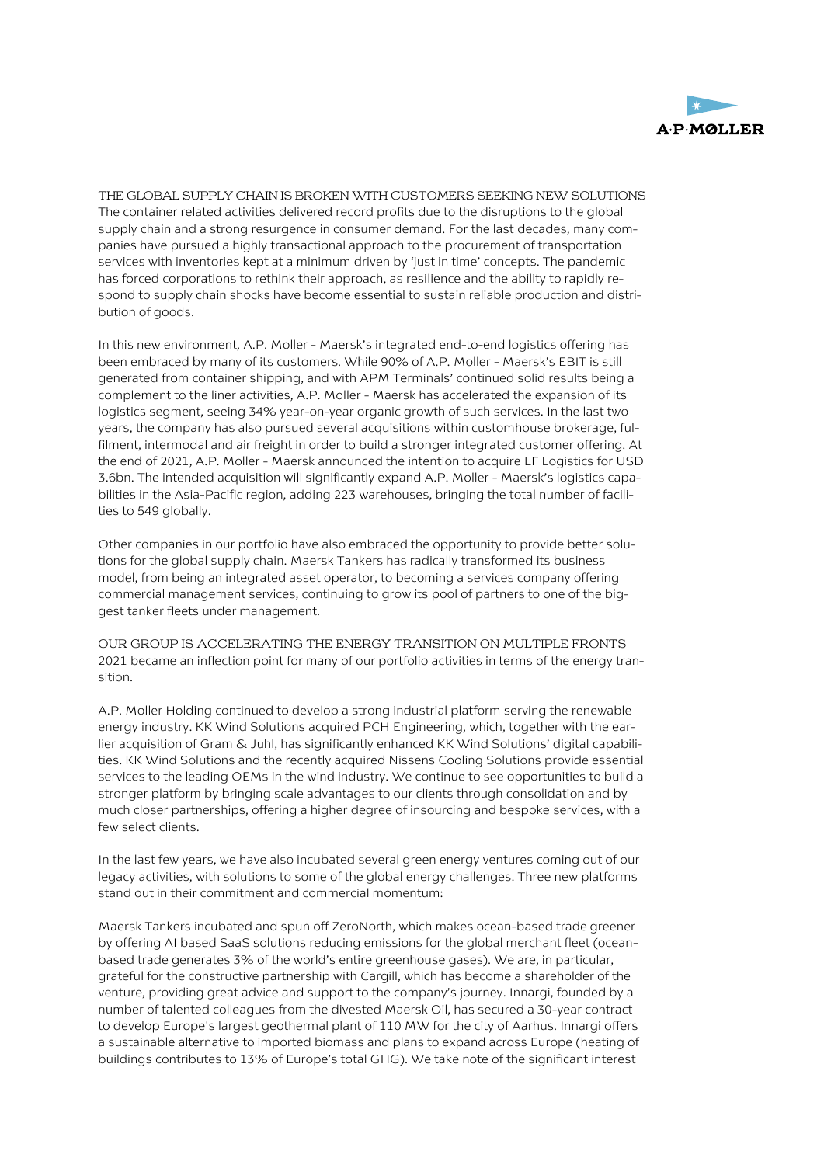

THE GLOBAL SUPPLY CHAIN IS BROKEN WITH CUSTOMERS SEEKING NEW SOLUTIONS The container related activities delivered record profits due to the disruptions to the global supply chain and a strong resurgence in consumer demand. For the last decades, many companies have pursued a highly transactional approach to the procurement of transportation services with inventories kept at a minimum driven by 'just in time' concepts. The pandemic has forced corporations to rethink their approach, as resilience and the ability to rapidly respond to supply chain shocks have become essential to sustain reliable production and distribution of goods.

In this new environment, A.P. Moller - Maersk's integrated end-to-end logistics offering has been embraced by many of its customers. While 90% of A.P. Moller - Maersk's EBIT is still generated from container shipping, and with APM Terminals' continued solid results being a complement to the liner activities, A.P. Moller - Maersk has accelerated the expansion of its logistics segment, seeing 34% year-on-year organic growth of such services. In the last two years, the company has also pursued several acquisitions within customhouse brokerage, fulfilment, intermodal and air freight in order to build a stronger integrated customer offering. At the end of 2021, A.P. Moller - Maersk announced the intention to acquire LF Logistics for USD 3.6bn. The intended acquisition will significantly expand A.P. Moller - Maersk's logistics capabilities in the Asia-Pacific region, adding 223 warehouses, bringing the total number of facilities to 549 globally.

Other companies in our portfolio have also embraced the opportunity to provide better solutions for the global supply chain. Maersk Tankers has radically transformed its business model, from being an integrated asset operator, to becoming a services company offering commercial management services, continuing to grow its pool of partners to one of the biggest tanker fleets under management.

OUR GROUP IS ACCELERATING THE ENERGY TRANSITION ON MULTIPLE FRONTS 2021 became an inflection point for many of our portfolio activities in terms of the energy transition.

A.P. Moller Holding continued to develop a strong industrial platform serving the renewable energy industry. KK Wind Solutions acquired PCH Engineering, which, together with the earlier acquisition of Gram & Juhl, has significantly enhanced KK Wind Solutions' digital capabilities. KK Wind Solutions and the recently acquired Nissens Cooling Solutions provide essential services to the leading OEMs in the wind industry. We continue to see opportunities to build a stronger platform by bringing scale advantages to our clients through consolidation and by much closer partnerships, offering a higher degree of insourcing and bespoke services, with a few select clients.

In the last few years, we have also incubated several green energy ventures coming out of our legacy activities, with solutions to some of the global energy challenges. Three new platforms stand out in their commitment and commercial momentum:

Maersk Tankers incubated and spun off ZeroNorth, which makes ocean-based trade greener by offering AI based SaaS solutions reducing emissions for the global merchant fleet (oceanbased trade generates 3% of the world's entire greenhouse gases). We are, in particular, grateful for the constructive partnership with Cargill, which has become a shareholder of the venture, providing great advice and support to the company's journey. Innargi, founded by a number of talented colleagues from the divested Maersk Oil, has secured a 30-year contract to develop Europe's largest geothermal plant of 110 MW for the city of Aarhus. Innargi offers a sustainable alternative to imported biomass and plans to expand across Europe (heating of buildings contributes to 13% of Europe's total GHG). We take note of the significant interest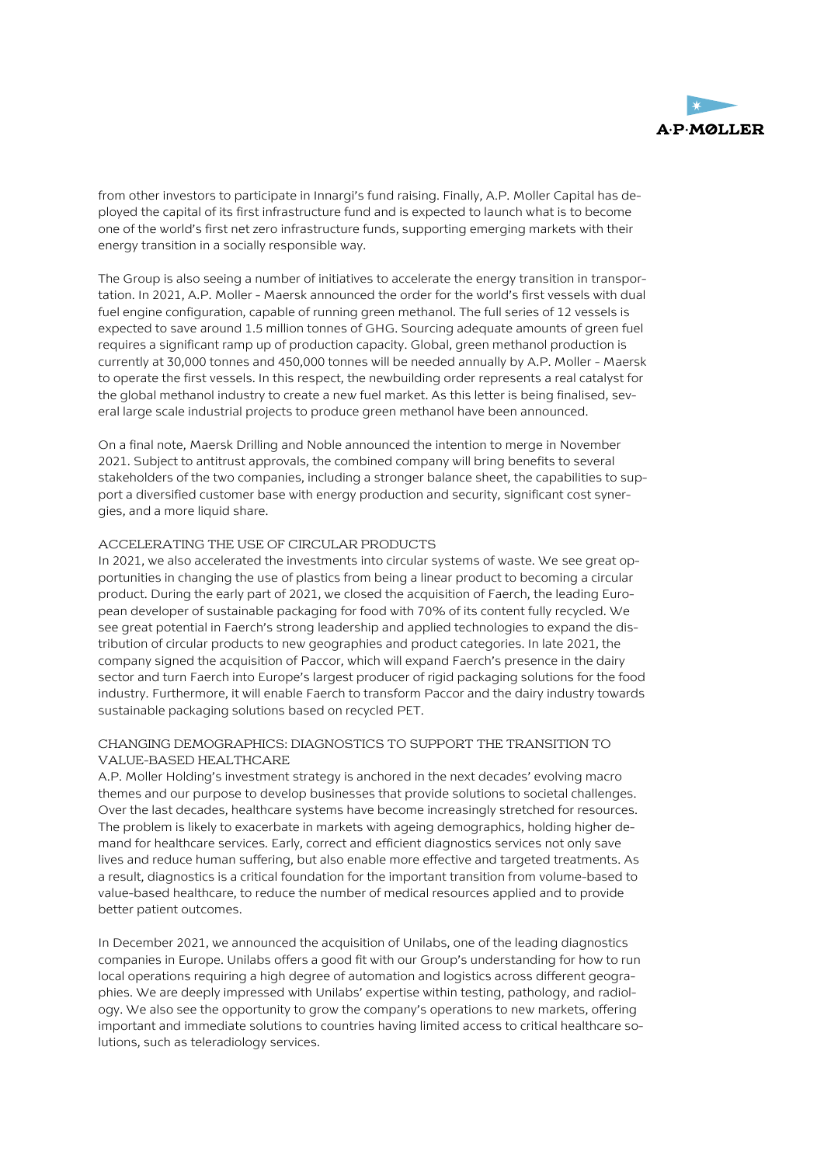

from other investors to participate in Innargi's fund raising. Finally, A.P. Moller Capital has deployed the capital of its first infrastructure fund and is expected to launch what is to become one of the world's first net zero infrastructure funds, supporting emerging markets with their energy transition in a socially responsible way.

The Group is also seeing a number of initiatives to accelerate the energy transition in transportation. In 2021, A.P. Moller - Maersk announced the order for the world's first vessels with dual fuel engine configuration, capable of running green methanol. The full series of 12 vessels is expected to save around 1.5 million tonnes of GHG. Sourcing adequate amounts of green fuel requires a significant ramp up of production capacity. Global, green methanol production is currently at 30,000 tonnes and 450,000 tonnes will be needed annually by A.P. Moller - Maersk to operate the first vessels. In this respect, the newbuilding order represents a real catalyst for the global methanol industry to create a new fuel market. As this letter is being finalised, several large scale industrial projects to produce green methanol have been announced.

On a final note, Maersk Drilling and Noble announced the intention to merge in November 2021. Subject to antitrust approvals, the combined company will bring benefits to several stakeholders of the two companies, including a stronger balance sheet, the capabilities to support a diversified customer base with energy production and security, significant cost synergies, and a more liquid share.

## ACCELERATING THE USE OF CIRCULAR PRODUCTS

In 2021, we also accelerated the investments into circular systems of waste. We see great opportunities in changing the use of plastics from being a linear product to becoming a circular product. During the early part of 2021, we closed the acquisition of Faerch, the leading European developer of sustainable packaging for food with 70% of its content fully recycled. We see great potential in Faerch's strong leadership and applied technologies to expand the distribution of circular products to new geographies and product categories. In late 2021, the company signed the acquisition of Paccor, which will expand Faerch's presence in the dairy sector and turn Faerch into Europe's largest producer of rigid packaging solutions for the food industry. Furthermore, it will enable Faerch to transform Paccor and the dairy industry towards sustainable packaging solutions based on recycled PET.

## CHANGING DEMOGRAPHICS: DIAGNOSTICS TO SUPPORT THE TRANSITION TO VALUE-BASED HEALTHCARE

A.P. Moller Holding's investment strategy is anchored in the next decades' evolving macro themes and our purpose to develop businesses that provide solutions to societal challenges. Over the last decades, healthcare systems have become increasingly stretched for resources. The problem is likely to exacerbate in markets with ageing demographics, holding higher demand for healthcare services. Early, correct and efficient diagnostics services not only save lives and reduce human suffering, but also enable more effective and targeted treatments. As a result, diagnostics is a critical foundation for the important transition from volume-based to value-based healthcare, to reduce the number of medical resources applied and to provide better patient outcomes.

In December 2021, we announced the acquisition of Unilabs, one of the leading diagnostics companies in Europe. Unilabs offers a good fit with our Group's understanding for how to run local operations requiring a high degree of automation and logistics across different geographies. We are deeply impressed with Unilabs' expertise within testing, pathology, and radiology. We also see the opportunity to grow the company's operations to new markets, offering important and immediate solutions to countries having limited access to critical healthcare solutions, such as teleradiology services.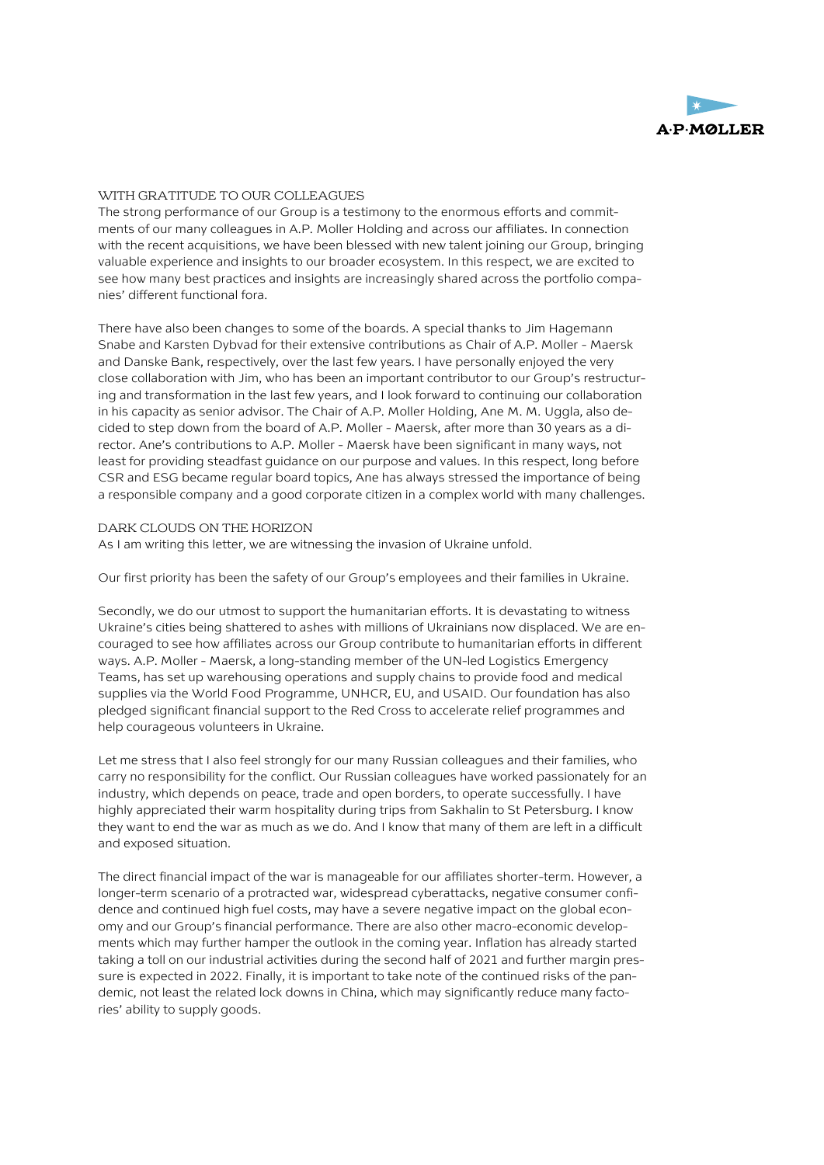

### WITH GRATITUDE TO OUR COLLEAGUES

The strong performance of our Group is a testimony to the enormous efforts and commitments of our many colleagues in A.P. Moller Holding and across our affiliates. In connection with the recent acquisitions, we have been blessed with new talent joining our Group, bringing valuable experience and insights to our broader ecosystem. In this respect, we are excited to see how many best practices and insights are increasingly shared across the portfolio companies' different functional fora.

There have also been changes to some of the boards. A special thanks to Jim Hagemann Snabe and Karsten Dybvad for their extensive contributions as Chair of A.P. Moller - Maersk and Danske Bank, respectively, over the last few years. I have personally enjoyed the very close collaboration with Jim, who has been an important contributor to our Group's restructuring and transformation in the last few years, and I look forward to continuing our collaboration in his capacity as senior advisor. The Chair of A.P. Moller Holding, Ane M. M. Uggla, also decided to step down from the board of A.P. Moller - Maersk, after more than 30 years as a director. Ane's contributions to A.P. Moller - Maersk have been significant in many ways, not least for providing steadfast guidance on our purpose and values. In this respect, long before CSR and ESG became regular board topics, Ane has always stressed the importance of being a responsible company and a good corporate citizen in a complex world with many challenges.

#### DARK CLOUDS ON THE HORIZON

As I am writing this letter, we are witnessing the invasion of Ukraine unfold.

Our first priority has been the safety of our Group's employees and their families in Ukraine.

Secondly, we do our utmost to support the humanitarian efforts. It is devastating to witness Ukraine's cities being shattered to ashes with millions of Ukrainians now displaced. We are encouraged to see how affiliates across our Group contribute to humanitarian efforts in different ways. A.P. Moller - Maersk, a long-standing member of the UN-led Logistics Emergency Teams, has set up warehousing operations and supply chains to provide food and medical supplies via the World Food Programme, UNHCR, EU, and USAID. Our foundation has also pledged significant financial support to the Red Cross to accelerate relief programmes and help courageous volunteers in Ukraine.

Let me stress that I also feel strongly for our many Russian colleagues and their families, who carry no responsibility for the conflict. Our Russian colleagues have worked passionately for an industry, which depends on peace, trade and open borders, to operate successfully. I have highly appreciated their warm hospitality during trips from Sakhalin to St Petersburg. I know they want to end the war as much as we do. And I know that many of them are left in a difficult and exposed situation.

The direct financial impact of the war is manageable for our affiliates shorter-term. However, a longer-term scenario of a protracted war, widespread cyberattacks, negative consumer confidence and continued high fuel costs, may have a severe negative impact on the global economy and our Group's financial performance. There are also other macro-economic developments which may further hamper the outlook in the coming year. Inflation has already started taking a toll on our industrial activities during the second half of 2021 and further margin pressure is expected in 2022. Finally, it is important to take note of the continued risks of the pandemic, not least the related lock downs in China, which may significantly reduce many factories' ability to supply goods.